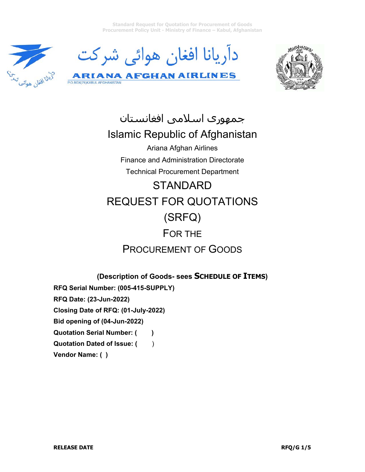**Standard Request for Quotation for Procurement of Goods Procurement Policy Unit - Ministry of Finance – Kabul, Afghanistan** 







جمهوری اسلامی افغانستان Islamic Republic of Afghanistan Ariana Afghan Airlines Finance and Administration Directorate Technical Procurement Department **STANDARD** REQUEST FOR QUOTATIONS (SRFQ) FOR THE

# PROCUREMENT OF GOODS

**(Description of Goods- sees SCHEDULE OF ITEMS)** 

**RFQ Serial Number: (005-415-SUPPLY)** 

**RFQ Date: (23-Jun-2022)** 

P.O.BOX(76)KABUL AFGHANISTAN

**Closing Date of RFQ: (01-July-2022)** 

**Bid opening of (04-Jun-2022)** 

**Quotation Serial Number: ()** 

**Quotation Dated of Issue: ()** 

**Vendor Name: ( )**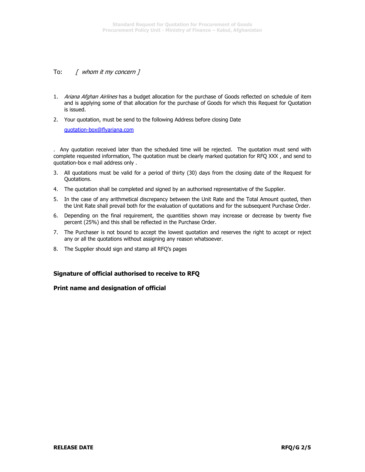#### To: [ whom it my concern ]

1. Ariana Afghan Airlines has a budget allocation for the purchase of Goods reflected on schedule of item and is applying some of that allocation for the purchase of Goods for which this Request for Quotation is issued.

2. Your quotation, must be send to the following Address before closing Date

quotation-box@flyariana.com

. Any quotation received later than the scheduled time will be rejected. The quotation must send with complete requested information, The quotation must be clearly marked quotation for RFQ XXX , and send to quotation-box e mail address only .

- 3. All quotations must be valid for a period of thirty (30) days from the closing date of the Request for Quotations.
- 4. The quotation shall be completed and signed by an authorised representative of the Supplier.
- 5. In the case of any arithmetical discrepancy between the Unit Rate and the Total Amount quoted, then the Unit Rate shall prevail both for the evaluation of quotations and for the subsequent Purchase Order.
- 6. Depending on the final requirement, the quantities shown may increase or decrease by twenty five percent (25%) and this shall be reflected in the Purchase Order.
- 7. The Purchaser is not bound to accept the lowest quotation and reserves the right to accept or reject any or all the quotations without assigning any reason whatsoever.
- 8. The Supplier should sign and stamp all RFQ's pages

#### **Signature of official authorised to receive to RFQ**

#### **Print name and designation of official**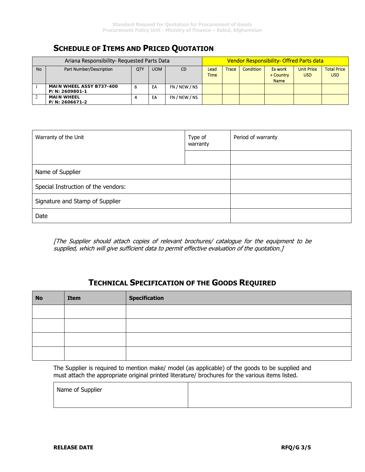# **SCHEDULE OF ITEMS AND PRICED QUOTATION**

| Ariana Responsibility- Requested Parts Data |                                            |     |            | Vendor Responsibility- Offred Parts data |                     |              |                  |                                     |                                 |                                  |
|---------------------------------------------|--------------------------------------------|-----|------------|------------------------------------------|---------------------|--------------|------------------|-------------------------------------|---------------------------------|----------------------------------|
| No                                          | Part Number/Description                    | QTY | <b>UOM</b> | CD                                       | Lead<br><b>Time</b> | <b>Trace</b> | <b>Condition</b> | Ex work<br>+ Country<br><b>Name</b> | <b>Unit Price</b><br><b>USD</b> | <b>Total Price</b><br><b>USD</b> |
|                                             | MAIN WHEEL ASSY B737-400<br>P/N: 2609801-1 | 6   | EA         | FN / NEW / NS                            |                     |              |                  |                                     |                                 |                                  |
|                                             | <b>MAIN WHEEL</b><br>P/N: 2606671-2        |     | EA         | FN / NEW / NS                            |                     |              |                  |                                     |                                 |                                  |

| Warranty of the Unit                | Type of<br>warranty | Period of warranty |
|-------------------------------------|---------------------|--------------------|
|                                     |                     |                    |
| Name of Supplier                    |                     |                    |
| Special Instruction of the vendors: |                     |                    |
| Signature and Stamp of Supplier     |                     |                    |
| Date                                |                     |                    |

[The Supplier should attach copies of relevant brochures/ catalogue for the equipment to be supplied, which will give sufficient data to permit effective evaluation of the quotation.]

## **TECHNICAL SPECIFICATION OF THE GOODS REQUIRED**

| <b>No</b> | Item | <b>Specification</b> |  |
|-----------|------|----------------------|--|
|           |      |                      |  |
|           |      |                      |  |
|           |      |                      |  |
|           |      |                      |  |

The Supplier is required to mention make/ model (as applicable) of the goods to be supplied and must attach the appropriate original printed literature/ brochures for the various items listed.

| Name of Supplier |  |
|------------------|--|
|                  |  |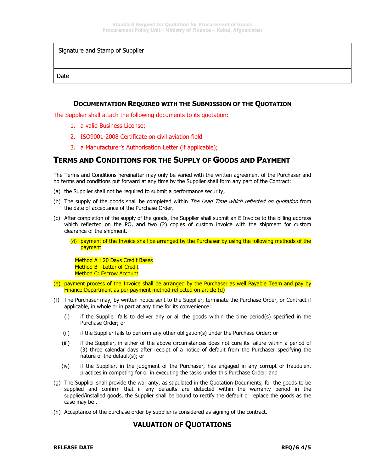| Signature and Stamp of Supplier |  |
|---------------------------------|--|
| Date                            |  |

#### **DOCUMENTATION REQUIRED WITH THE SUBMISSION OF THE QUOTATION**

The Supplier shall attach the following documents to its quotation:

- 1. a valid Business License;
- 2. ISO9001-2008 Certificate on civil aviation field
- 3. a Manufacturer's Authorisation Letter (if applicable);

### **TERMS AND CONDITIONS FOR THE SUPPLY OF GOODS AND PAYMENT**

The Terms and Conditions hereinafter may only be varied with the written agreement of the Purchaser and no terms and conditions put forward at any time by the Supplier shall form any part of the Contract:

- (a) the Supplier shall not be required to submit a performance security;
- (b) The supply of the goods shall be completed within *The Lead Time which reflected on quotation* from the date of acceptance of the Purchase Order.
- (c) After completion of the supply of the goods, the Supplier shall submit an E Invoice to the billing address which reflected on the PO, and two (2) copies of custom invoice with the shipment for custom clearance of the shipment.

(d) payment of the Invoice shall be arranged by the Purchaser by using the following methods of the payment

Method A: 20 Days Credit Bases Method B: Letter of Credit Method C: Escrow Account

- (e) payment process of the Invoice shall be arranged by the Purchaser as well Payable Team and pay by Finance Department as per payment method reflected on article (d)
- (f) The Purchaser may, by written notice sent to the Supplier, terminate the Purchase Order, or Contract if applicable, in whole or in part at any time for its convenience:
	- (i) if the Supplier fails to deliver any or all the goods within the time period(s) specified in the Purchase Order; or
	- (ii) if the Supplier fails to perform any other obligation(s) under the Purchase Order; or
	- (iii) if the Supplier, in either of the above circumstances does not cure its failure within a period of (3) three calendar days after receipt of a notice of default from the Purchaser specifying the nature of the default(s); or
	- (iv) if the Supplier, in the judgment of the Purchaser, has engaged in any corrupt or fraudulent practices in competing for or in executing the tasks under this Purchase Order; and
- (g) The Supplier shall provide the warranty, as stipulated in the Quotation Documents, for the goods to be supplied and confirm that if any defaults are detected within the warranty period in the supplied/installed goods, the Supplier shall be bound to rectify the default or replace the goods as the case may be .
- (h) Acceptance of the purchase order by supplier is considered as signing of the contract.

### **VALUATION OF QUOTATIONS**